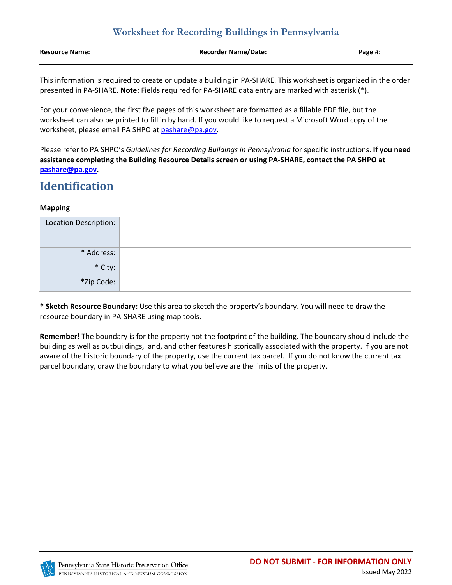| <b>Resource Name:</b> | <b>Recorder Name/Date:</b> | Page #: |
|-----------------------|----------------------------|---------|
|                       |                            |         |

This information is required to create or update a building in PA-SHARE. This worksheet is organized in the order presented in PA-SHARE. **Note:** Fields required for PA-SHARE data entry are marked with asterisk (\*).

For your convenience, the first five pages of this worksheet are formatted as a fillable PDF file, but the worksheet can also be printed to fill in by hand. If you would like to request a Microsoft Word copy of the worksheet, please email PA SHPO at [pashare@pa.gov.](mailto:pashare@pa.gov)

Please refer to PA SHPO's *Guidelines for Recording Buildings in Pennsylvania* for specific instructions. **If you need assistance completing the Building Resource Details screen or using PA-SHARE, contact the PA SHPO at [pashare@pa.gov.](mailto:pashare@pa.gov)**

# **Identification**

### **Mapping**

| Location Description: |  |
|-----------------------|--|
| * Address:            |  |
| * City:               |  |
| *Zip Code:            |  |

**\* Sketch Resource Boundary:** Use this area to sketch the property's boundary. You will need to draw the resource boundary in PA-SHARE using map tools.

**Remember!** The boundary is for the property not the footprint of the building. The boundary should include the building as well as outbuildings, land, and other features historically associated with the property. If you are not aware of the historic boundary of the property, use the current tax parcel. If you do not know the current tax parcel boundary, draw the boundary to what you believe are the limits of the property.

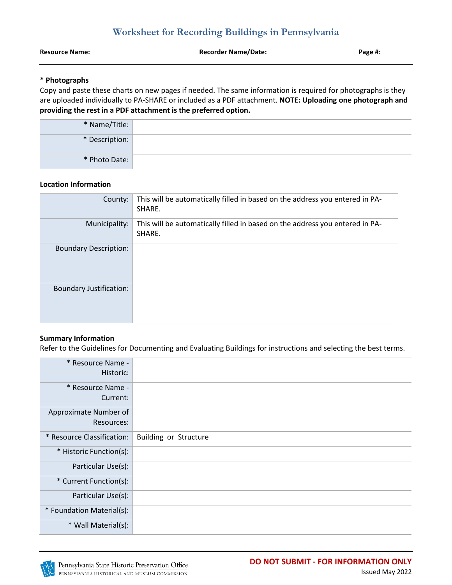**Resource Name: Recorder Name/Date: Page #:**

### **\* Photographs**

Copy and paste these charts on new pages if needed. The same information is required for photographs is they are uploaded individually to PA-SHARE or included as a PDF attachment. **NOTE: Uploading one photograph and providing the rest in a PDF attachment is the preferred option.**

| * Name/Title:  |  |
|----------------|--|
| * Description: |  |
| * Photo Date:  |  |

### **Location Information**

| County:                        | This will be automatically filled in based on the address you entered in PA-<br>SHARE. |
|--------------------------------|----------------------------------------------------------------------------------------|
| Municipality:                  | This will be automatically filled in based on the address you entered in PA-<br>SHARE. |
| <b>Boundary Description:</b>   |                                                                                        |
| <b>Boundary Justification:</b> |                                                                                        |

## **Summary Information**

Refer to the Guidelines for Documenting and Evaluating Buildings for instructions and selecting the best terms.

| * Resource Name -<br>Historic:      |                              |
|-------------------------------------|------------------------------|
| * Resource Name -<br>Current:       |                              |
| Approximate Number of<br>Resources: |                              |
| * Resource Classification:          | <b>Building or Structure</b> |
| * Historic Function(s):             |                              |
| Particular Use(s):                  |                              |
| * Current Function(s):              |                              |
| Particular Use(s):                  |                              |
| * Foundation Material(s):           |                              |
| * Wall Material(s):                 |                              |

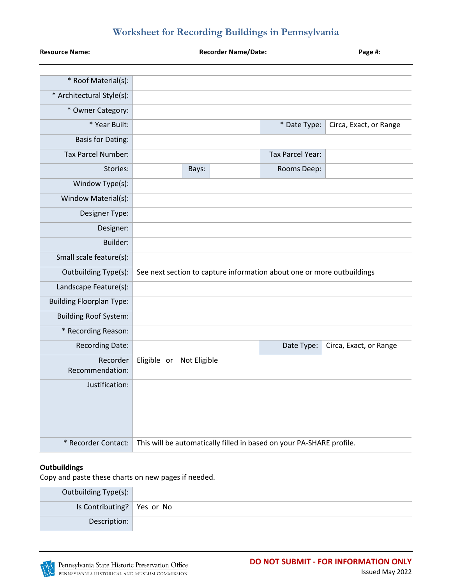| <b>Resource Name:</b>           | <b>Recorder Name/Date:</b> |              | Page #:                                                                |                        |
|---------------------------------|----------------------------|--------------|------------------------------------------------------------------------|------------------------|
| * Roof Material(s):             |                            |              |                                                                        |                        |
| * Architectural Style(s):       |                            |              |                                                                        |                        |
| * Owner Category:               |                            |              |                                                                        |                        |
| * Year Built:                   |                            |              | * Date Type:                                                           | Circa, Exact, or Range |
| <b>Basis for Dating:</b>        |                            |              |                                                                        |                        |
| <b>Tax Parcel Number:</b>       |                            |              | Tax Parcel Year:                                                       |                        |
| Stories:                        | Bays:                      |              | Rooms Deep:                                                            |                        |
| Window Type(s):                 |                            |              |                                                                        |                        |
| Window Material(s):             |                            |              |                                                                        |                        |
| Designer Type:                  |                            |              |                                                                        |                        |
| Designer:                       |                            |              |                                                                        |                        |
| Builder:                        |                            |              |                                                                        |                        |
| Small scale feature(s):         |                            |              |                                                                        |                        |
| Outbuilding Type(s):            |                            |              | See next section to capture information about one or more outbuildings |                        |
| Landscape Feature(s):           |                            |              |                                                                        |                        |
| <b>Building Floorplan Type:</b> |                            |              |                                                                        |                        |
| <b>Building Roof System:</b>    |                            |              |                                                                        |                        |
| * Recording Reason:             |                            |              |                                                                        |                        |
| <b>Recording Date:</b>          |                            |              | Date Type:                                                             | Circa, Exact, or Range |
| Recorder<br>Recommendation:     | Eligible or                | Not Eligible |                                                                        |                        |
| Justification:                  |                            |              |                                                                        |                        |
| * Recorder Contact:             |                            |              | This will be automatically filled in based on your PA-SHARE profile.   |                        |

### **Outbuildings**

Copy and paste these charts on new pages if needed.

| Outbuilding Type(s):         |  |
|------------------------------|--|
| Is Contributing?   Yes or No |  |
| Description:                 |  |

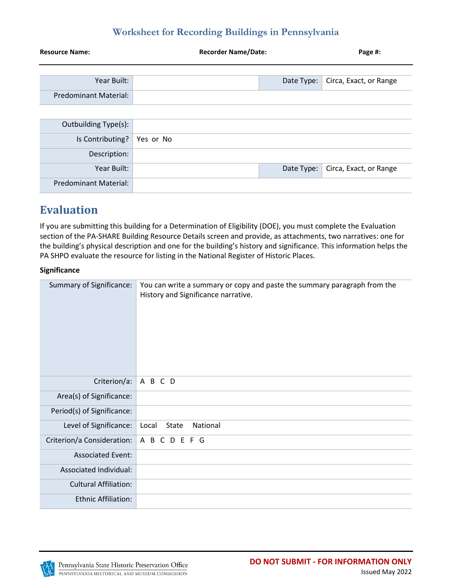| <b>Resource Name:</b>        | <b>Recorder Name/Date:</b> |            | Page #:                |
|------------------------------|----------------------------|------------|------------------------|
|                              |                            |            |                        |
| Year Built:                  |                            | Date Type: | Circa, Exact, or Range |
| Predominant Material:        |                            |            |                        |
|                              |                            |            |                        |
| Outbuilding Type(s):         |                            |            |                        |
| Is Contributing?             | Yes or No                  |            |                        |
| Description:                 |                            |            |                        |
| Year Built:                  |                            | Date Type: | Circa, Exact, or Range |
| <b>Predominant Material:</b> |                            |            |                        |

# **Evaluation**

If you are submitting this building for a Determination of Eligibility (DOE), you must complete the Evaluation section of the PA-SHARE Building Resource Details screen and provide, as attachments, two narratives: one for the building's physical description and one for the building's history and significance. This information helps the PA SHPO evaluate the resource for listing in the National Register of Historic Places.

### **Significance**

| Summary of Significance:     | You can write a summary or copy and paste the summary paragraph from the<br>History and Significance narrative. |
|------------------------------|-----------------------------------------------------------------------------------------------------------------|
| Criterion/a:                 | A B C D                                                                                                         |
| Area(s) of Significance:     |                                                                                                                 |
| Period(s) of Significance:   |                                                                                                                 |
| Level of Significance:       | State<br>National<br>Local                                                                                      |
| Criterion/a Consideration:   | A B C D E F G                                                                                                   |
| <b>Associated Event:</b>     |                                                                                                                 |
| Associated Individual:       |                                                                                                                 |
| <b>Cultural Affiliation:</b> |                                                                                                                 |
| <b>Ethnic Affiliation:</b>   |                                                                                                                 |

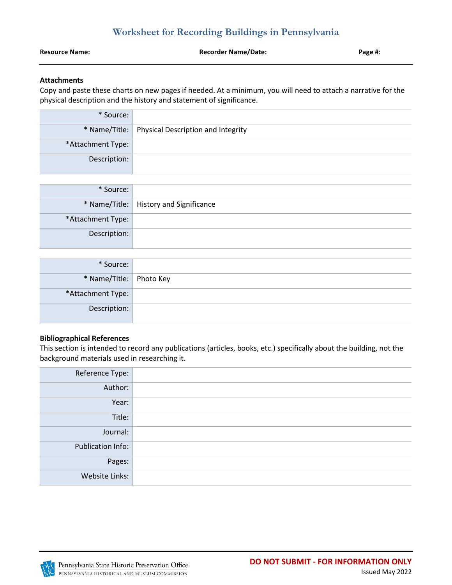| <b>Recorder Name/Date:</b><br><b>Resource Name:</b> | Page #: |
|-----------------------------------------------------|---------|

#### **Attachments**

Copy and paste these charts on new pages if needed. At a minimum, you will need to attach a narrative for the physical description and the history and statement of significance.

| * Source:         |                                                    |
|-------------------|----------------------------------------------------|
|                   | * Name/Title:   Physical Description and Integrity |
| *Attachment Type: |                                                    |
| Description:      |                                                    |

| * Source:         |                                          |
|-------------------|------------------------------------------|
|                   | * Name/Title:   History and Significance |
| *Attachment Type: |                                          |
| Description:      |                                          |

| * Source:               |  |
|-------------------------|--|
| * Name/Title: Photo Key |  |
| *Attachment Type:       |  |
| Description:            |  |

#### **Bibliographical References**

This section is intended to record any publications (articles, books, etc.) specifically about the building, not the background materials used in researching it.

| Reference Type:   |  |
|-------------------|--|
| Author:           |  |
| Year:             |  |
| Title:            |  |
| Journal:          |  |
| Publication Info: |  |
| Pages:            |  |
| Website Links:    |  |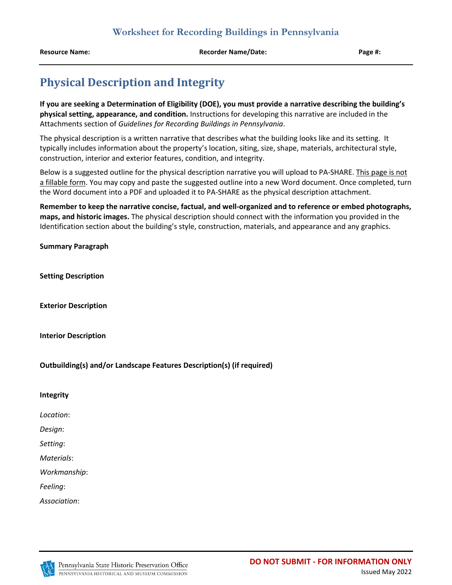**Resource Name: Recorder Name/Date: Page #:**

# **Physical Description and Integrity**

**If you are seeking a Determination of Eligibility (DOE), you must provide a narrative describing the building's physical setting, appearance, and condition.** Instructions for developing this narrative are included in the Attachments section of *Guidelines for Recording Buildings in Pennsylvania*.

The physical description is a written narrative that describes what the building looks like and its setting. It typically includes information about the property's location, siting, size, shape, materials, architectural style, construction, interior and exterior features, condition, and integrity.

Below is a suggested outline for the physical description narrative you will upload to PA-SHARE. This page is not a fillable form. You may copy and paste the suggested outline into a new Word document. Once completed, turn the Word document into a PDF and uploaded it to PA-SHARE as the physical description attachment.

**Remember to keep the narrative concise, factual, and well-organized and to reference or embed photographs, maps, and historic images.** The physical description should connect with the information you provided in the Identification section about the building's style, construction, materials, and appearance and any graphics.

**Summary Paragraph**

**Setting Description**

**Exterior Description**

**Interior Description**

**Outbuilding(s) and/or Landscape Features Description(s) (if required)**

#### **Integrity**

*Location*:

*Design*:

*Setting*:

*Materials*:

*Workmanship*:

*Feeling*:

*Association*: